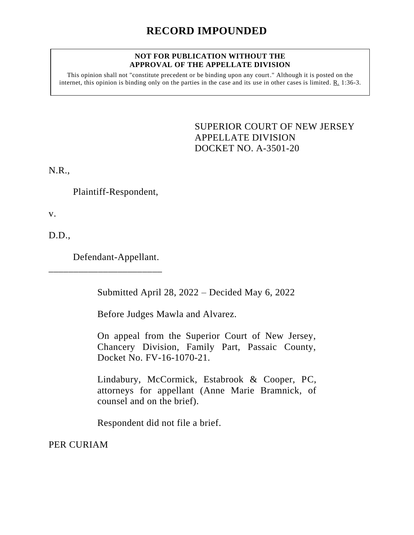# **RECORD IMPOUNDED**

#### **NOT FOR PUBLICATION WITHOUT THE APPROVAL OF THE APPELLATE DIVISION**

This opinion shall not "constitute precedent or be binding upon any court." Although it is posted on the internet, this opinion is binding only on the parties in the case and its use in other cases is limited. R. 1:36-3.

> <span id="page-0-0"></span>SUPERIOR COURT OF NEW JERSEY APPELLATE DIVISION DOCKET NO. A-3501-20

N.R.,

Plaintiff-Respondent,

v.

D.D.,

Defendant-Appellant.

\_\_\_\_\_\_\_\_\_\_\_\_\_\_\_\_\_\_\_\_\_\_\_

Submitted April 28, 2022 – Decided May 6, 2022

Before Judges Mawla and Alvarez.

On appeal from the Superior Court of New Jersey, Chancery Division, Family Part, Passaic County, Docket No. FV-16-1070-21.

Lindabury, McCormick, Estabrook & Cooper, PC, attorneys for appellant (Anne Marie Bramnick, of counsel and on the brief).

Respondent did not file a brief.

PER CURIAM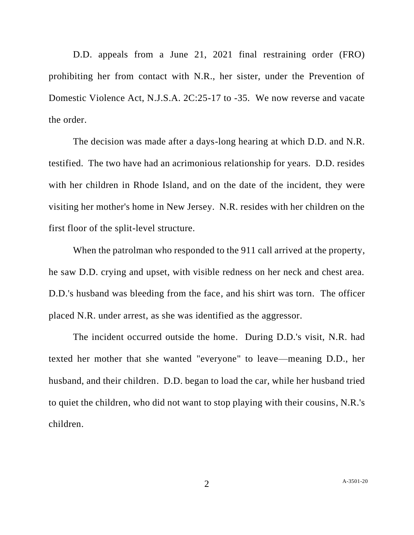D.D. appeals from a June 21, 2021 final restraining order (FRO) prohibiting her from contact with N.R., her sister, under the Prevention of Domestic Violence Act, N.J.S.A. 2C:25-17 to -35. We now reverse and vacate the order.

The decision was made after a days-long hearing at which D.D. and N.R. testified. The two have had an acrimonious relationship for years. D.D. resides with her children in Rhode Island, and on the date of the incident, they were visiting her mother's home in New Jersey. N.R. resides with her children on the first floor of the split-level structure.

When the patrolman who responded to the 911 call arrived at the property, he saw D.D. crying and upset, with visible redness on her neck and chest area. D.D.'s husband was bleeding from the face, and his shirt was torn. The officer placed N.R. under arrest, as she was identified as the aggressor.

The incident occurred outside the home. During D.D.'s visit, N.R. had texted her mother that she wanted "everyone" to leave—meaning D.D., her husband, and their children. D.D. began to load the car, while her husband tried to quiet the children, who did not want to stop playing with their cousins, N.R.'s children.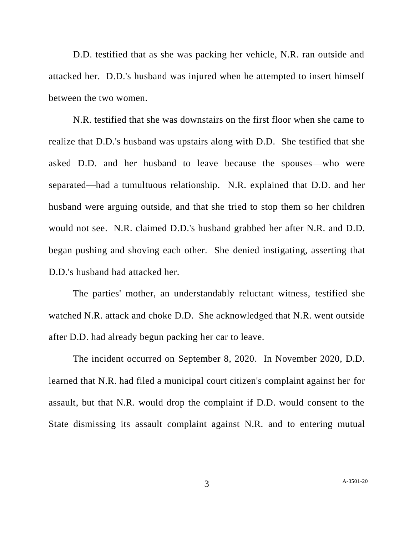D.D. testified that as she was packing her vehicle, N.R. ran outside and attacked her. D.D.'s husband was injured when he attempted to insert himself between the two women.

N.R. testified that she was downstairs on the first floor when she came to realize that D.D.'s husband was upstairs along with D.D. She testified that she asked D.D. and her husband to leave because the spouses—who were separated—had a tumultuous relationship. N.R. explained that D.D. and her husband were arguing outside, and that she tried to stop them so her children would not see. N.R. claimed D.D.'s husband grabbed her after N.R. and D.D. began pushing and shoving each other. She denied instigating, asserting that D.D.'s husband had attacked her.

The parties' mother, an understandably reluctant witness, testified she watched N.R. attack and choke D.D. She acknowledged that N.R. went outside after D.D. had already begun packing her car to leave.

The incident occurred on September 8, 2020. In November 2020, D.D. learned that N.R. had filed a municipal court citizen's complaint against her for assault, but that N.R. would drop the complaint if D.D. would consent to the State dismissing its assault complaint against N.R. and to entering mutual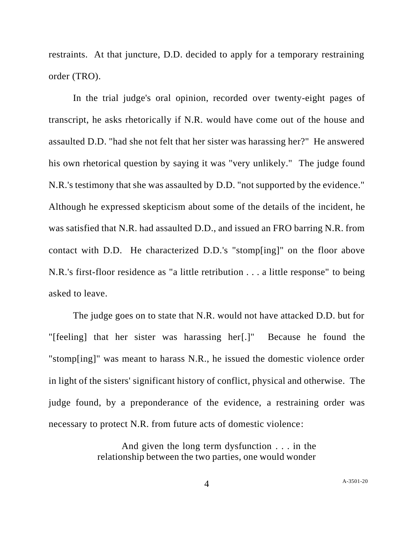restraints. At that juncture, D.D. decided to apply for a temporary restraining order (TRO).

In the trial judge's oral opinion, recorded over twenty-eight pages of transcript, he asks rhetorically if N.R. would have come out of the house and assaulted D.D. "had she not felt that her sister was harassing her?" He answered his own rhetorical question by saying it was "very unlikely." The judge found N.R.'s testimony that she was assaulted by D.D. "not supported by the evidence." Although he expressed skepticism about some of the details of the incident, he was satisfied that N.R. had assaulted D.D., and issued an FRO barring N.R. from contact with D.D. He characterized D.D.'s "stomp[ing]" on the floor above N.R.'s first-floor residence as "a little retribution . . . a little response" to being asked to leave.

The judge goes on to state that N.R. would not have attacked D.D. but for "[feeling] that her sister was harassing her[.]" Because he found the "stomp[ing]" was meant to harass N.R., he issued the domestic violence order in light of the sisters' significant history of conflict, physical and otherwise. The judge found, by a preponderance of the evidence, a restraining order was necessary to protect N.R. from future acts of domestic violence:

> And given the long term dysfunction . . . in the relationship between the two parties, one would wonder

4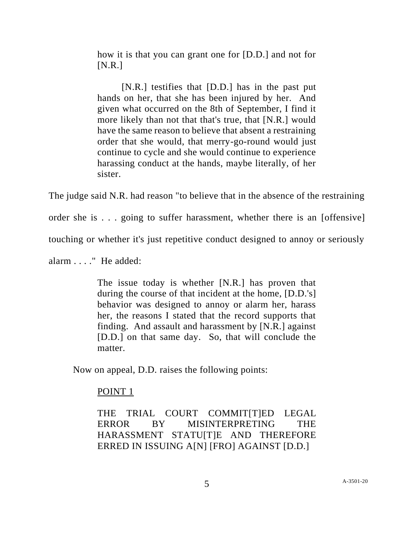how it is that you can grant one for [D.D.] and not for  $[N.R.]$ 

[N.R.] testifies that [D.D.] has in the past put hands on her, that she has been injured by her. And given what occurred on the 8th of September, I find it more likely than not that that's true, that [N.R.] would have the same reason to believe that absent a restraining order that she would, that merry-go-round would just continue to cycle and she would continue to experience harassing conduct at the hands, maybe literally, of her sister.

The judge said N.R. had reason "to believe that in the absence of the restraining

order she is . . . going to suffer harassment, whether there is an [offensive]

touching or whether it's just repetitive conduct designed to annoy or seriously

alarm . . . ." He added:

The issue today is whether [N.R.] has proven that during the course of that incident at the home, [D.D.'s] behavior was designed to annoy or alarm her, harass her, the reasons I stated that the record supports that finding. And assault and harassment by [N.R.] against [D.D.] on that same day. So, that will conclude the matter.

Now on appeal, D.D. raises the following points:

# POINT 1

THE TRIAL COURT COMMIT[T]ED LEGAL ERROR BY MISINTERPRETING THE HARASSMENT STATU[T]E AND THEREFORE ERRED IN ISSUING A[N] [FRO] AGAINST [D.D.]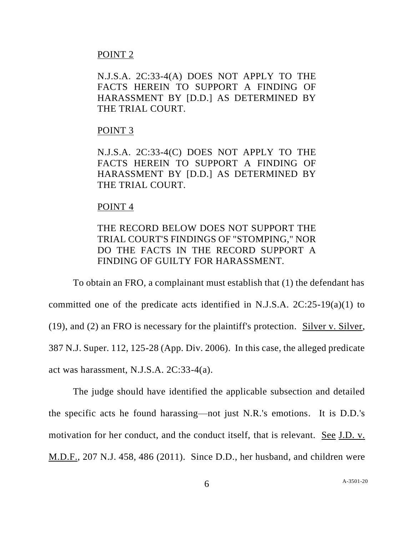## POINT 2

N.J.S.A. 2C:33-4(A) DOES NOT APPLY TO THE FACTS HEREIN TO SUPPORT A FINDING OF HARASSMENT BY [D.D.] AS DETERMINED BY THE TRIAL COURT.

## POINT 3

N.J.S.A. 2C:33-4(C) DOES NOT APPLY TO THE FACTS HEREIN TO SUPPORT A FINDING OF HARASSMENT BY [D.D.] AS DETERMINED BY THE TRIAL COURT.

### POINT 4

# THE RECORD BELOW DOES NOT SUPPORT THE TRIAL COURT'S FINDINGS OF "STOMPING," NOR DO THE FACTS IN THE RECORD SUPPORT A FINDING OF GUILTY FOR HARASSMENT.

To obtain an FRO, a complainant must establish that (1) the defendant has committed one of the predicate acts identified in N.J.S.A. 2C:25-19(a)(1) to (19), and (2) an FRO is necessary for the plaintiff's protection. Silver v. Silver, 387 N.J. Super. 112, 125-28 (App. Div. 2006). In this case, the alleged predicate act was harassment, N.J.S.A. 2C:33-4(a).

The judge should have identified the applicable subsection and detailed the specific acts he found harassing—not just N.R.'s emotions. It is D.D.'s motivation for her conduct, and the conduct itself, that is relevant. See J.D. v. M.D.F., 207 N.J. 458, 486 (2011). Since D.D., her husband, and children were